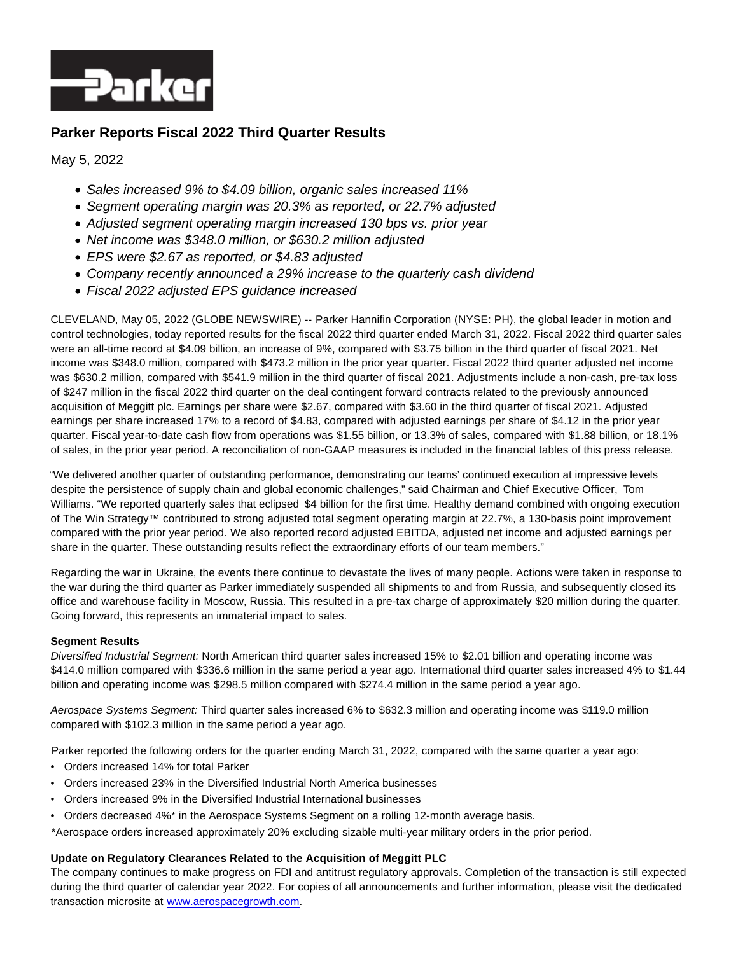

## **Parker Reports Fiscal 2022 Third Quarter Results**

May 5, 2022

- Sales increased 9% to \$4.09 billion, organic sales increased 11%
- Segment operating margin was 20.3% as reported, or 22.7% adjusted
- Adjusted segment operating margin increased 130 bps vs. prior year
- Net income was \$348.0 million, or \$630.2 million adjusted
- EPS were \$2.67 as reported, or \$4.83 adjusted
- Company recently announced a 29% increase to the quarterly cash dividend
- Fiscal 2022 adjusted EPS guidance increased

CLEVELAND, May 05, 2022 (GLOBE NEWSWIRE) -- Parker Hannifin Corporation (NYSE: PH), the global leader in motion and control technologies, today reported results for the fiscal 2022 third quarter ended March 31, 2022. Fiscal 2022 third quarter sales were an all-time record at \$4.09 billion, an increase of 9%, compared with \$3.75 billion in the third quarter of fiscal 2021. Net income was \$348.0 million, compared with \$473.2 million in the prior year quarter. Fiscal 2022 third quarter adjusted net income was \$630.2 million, compared with \$541.9 million in the third quarter of fiscal 2021. Adjustments include a non-cash, pre-tax loss of \$247 million in the fiscal 2022 third quarter on the deal contingent forward contracts related to the previously announced acquisition of Meggitt plc. Earnings per share were \$2.67, compared with \$3.60 in the third quarter of fiscal 2021. Adjusted earnings per share increased 17% to a record of \$4.83, compared with adjusted earnings per share of \$4.12 in the prior year quarter. Fiscal year-to-date cash flow from operations was \$1.55 billion, or 13.3% of sales, compared with \$1.88 billion, or 18.1% of sales, in the prior year period. A reconciliation of non-GAAP measures is included in the financial tables of this press release.

"We delivered another quarter of outstanding performance, demonstrating our teams' continued execution at impressive levels despite the persistence of supply chain and global economic challenges," said Chairman and Chief Executive Officer, Tom Williams. "We reported quarterly sales that eclipsed \$4 billion for the first time. Healthy demand combined with ongoing execution of The Win Strategy™ contributed to strong adjusted total segment operating margin at 22.7%, a 130-basis point improvement compared with the prior year period. We also reported record adjusted EBITDA, adjusted net income and adjusted earnings per share in the quarter. These outstanding results reflect the extraordinary efforts of our team members."

Regarding the war in Ukraine, the events there continue to devastate the lives of many people. Actions were taken in response to the war during the third quarter as Parker immediately suspended all shipments to and from Russia, and subsequently closed its office and warehouse facility in Moscow, Russia. This resulted in a pre-tax charge of approximately \$20 million during the quarter. Going forward, this represents an immaterial impact to sales.

#### **Segment Results**

Diversified Industrial Segment: North American third quarter sales increased 15% to \$2.01 billion and operating income was \$414.0 million compared with \$336.6 million in the same period a year ago. International third quarter sales increased 4% to \$1.44 billion and operating income was \$298.5 million compared with \$274.4 million in the same period a year ago.

Aerospace Systems Segment: Third quarter sales increased 6% to \$632.3 million and operating income was \$119.0 million compared with \$102.3 million in the same period a year ago.

Parker reported the following orders for the quarter ending March 31, 2022, compared with the same quarter a year ago:

- Orders increased 14% for total Parker
- Orders increased 23% in the Diversified Industrial North America businesses
- Orders increased 9% in the Diversified Industrial International businesses
- Orders decreased 4%\* in the Aerospace Systems Segment on a rolling 12-month average basis.

\*Aerospace orders increased approximately 20% excluding sizable multi-year military orders in the prior period.

#### **Update on Regulatory Clearances Related to the Acquisition of Meggitt PLC**

The company continues to make progress on FDI and antitrust regulatory approvals. Completion of the transaction is still expected during the third quarter of calendar year 2022. For copies of all announcements and further information, please visit the dedicated transaction microsite at [www.aerospacegrowth.com.](http://www.aerospacegrowth.com/)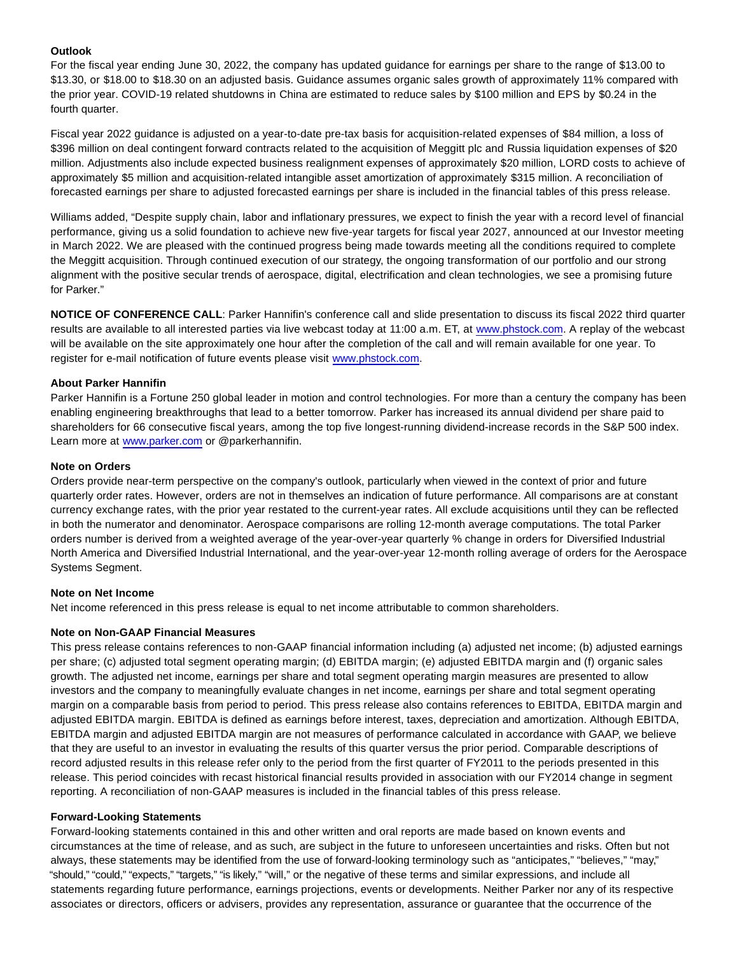#### **Outlook**

For the fiscal year ending June 30, 2022, the company has updated guidance for earnings per share to the range of \$13.00 to \$13.30, or \$18.00 to \$18.30 on an adjusted basis. Guidance assumes organic sales growth of approximately 11% compared with the prior year. COVID-19 related shutdowns in China are estimated to reduce sales by \$100 million and EPS by \$0.24 in the fourth quarter.

Fiscal year 2022 guidance is adjusted on a year-to-date pre-tax basis for acquisition-related expenses of \$84 million, a loss of \$396 million on deal contingent forward contracts related to the acquisition of Meggitt plc and Russia liquidation expenses of \$20 million. Adjustments also include expected business realignment expenses of approximately \$20 million, LORD costs to achieve of approximately \$5 million and acquisition-related intangible asset amortization of approximately \$315 million. A reconciliation of forecasted earnings per share to adjusted forecasted earnings per share is included in the financial tables of this press release.

Williams added, "Despite supply chain, labor and inflationary pressures, we expect to finish the year with a record level of financial performance, giving us a solid foundation to achieve new five-year targets for fiscal year 2027, announced at our Investor meeting in March 2022. We are pleased with the continued progress being made towards meeting all the conditions required to complete the Meggitt acquisition. Through continued execution of our strategy, the ongoing transformation of our portfolio and our strong alignment with the positive secular trends of aerospace, digital, electrification and clean technologies, we see a promising future for Parker."

**NOTICE OF CONFERENCE CALL**: Parker Hannifin's conference call and slide presentation to discuss its fiscal 2022 third quarter results are available to all interested parties via live webcast today at 11:00 a.m. ET, at [www.phstock.com.](http://www.phstock.com/) A replay of the webcast will be available on the site approximately one hour after the completion of the call and will remain available for one year. To register for e-mail notification of future events please visit [www.phstock.com.](http://www.phstock.com/)

#### **About Parker Hannifin**

Parker Hannifin is a Fortune 250 global leader in motion and control technologies. For more than a century the company has been enabling engineering breakthroughs that lead to a better tomorrow. Parker has increased its annual dividend per share paid to shareholders for 66 consecutive fiscal years, among the top five longest-running dividend-increase records in the S&P 500 index. Learn more at [www.parker.com o](http://www.parker.com/)r @parkerhannifin.

#### **Note on Orders**

Orders provide near-term perspective on the company's outlook, particularly when viewed in the context of prior and future quarterly order rates. However, orders are not in themselves an indication of future performance. All comparisons are at constant currency exchange rates, with the prior year restated to the current-year rates. All exclude acquisitions until they can be reflected in both the numerator and denominator. Aerospace comparisons are rolling 12-month average computations. The total Parker orders number is derived from a weighted average of the year-over-year quarterly % change in orders for Diversified Industrial North America and Diversified Industrial International, and the year-over-year 12-month rolling average of orders for the Aerospace Systems Segment.

#### **Note on Net Income**

Net income referenced in this press release is equal to net income attributable to common shareholders.

#### **Note on Non-GAAP Financial Measures**

This press release contains references to non-GAAP financial information including (a) adjusted net income; (b) adjusted earnings per share; (c) adjusted total segment operating margin; (d) EBITDA margin; (e) adjusted EBITDA margin and (f) organic sales growth. The adjusted net income, earnings per share and total segment operating margin measures are presented to allow investors and the company to meaningfully evaluate changes in net income, earnings per share and total segment operating margin on a comparable basis from period to period. This press release also contains references to EBITDA, EBITDA margin and adjusted EBITDA margin. EBITDA is defined as earnings before interest, taxes, depreciation and amortization. Although EBITDA, EBITDA margin and adjusted EBITDA margin are not measures of performance calculated in accordance with GAAP, we believe that they are useful to an investor in evaluating the results of this quarter versus the prior period. Comparable descriptions of record adjusted results in this release refer only to the period from the first quarter of FY2011 to the periods presented in this release. This period coincides with recast historical financial results provided in association with our FY2014 change in segment reporting. A reconciliation of non-GAAP measures is included in the financial tables of this press release.

#### **Forward-Looking Statements**

Forward-looking statements contained in this and other written and oral reports are made based on known events and circumstances at the time of release, and as such, are subject in the future to unforeseen uncertainties and risks. Often but not always, these statements may be identified from the use of forward-looking terminology such as "anticipates," "believes," "may," "should," "could," "expects," "targets," "is likely," "will," or the negative of these terms and similar expressions, and include all statements regarding future performance, earnings projections, events or developments. Neither Parker nor any of its respective associates or directors, officers or advisers, provides any representation, assurance or guarantee that the occurrence of the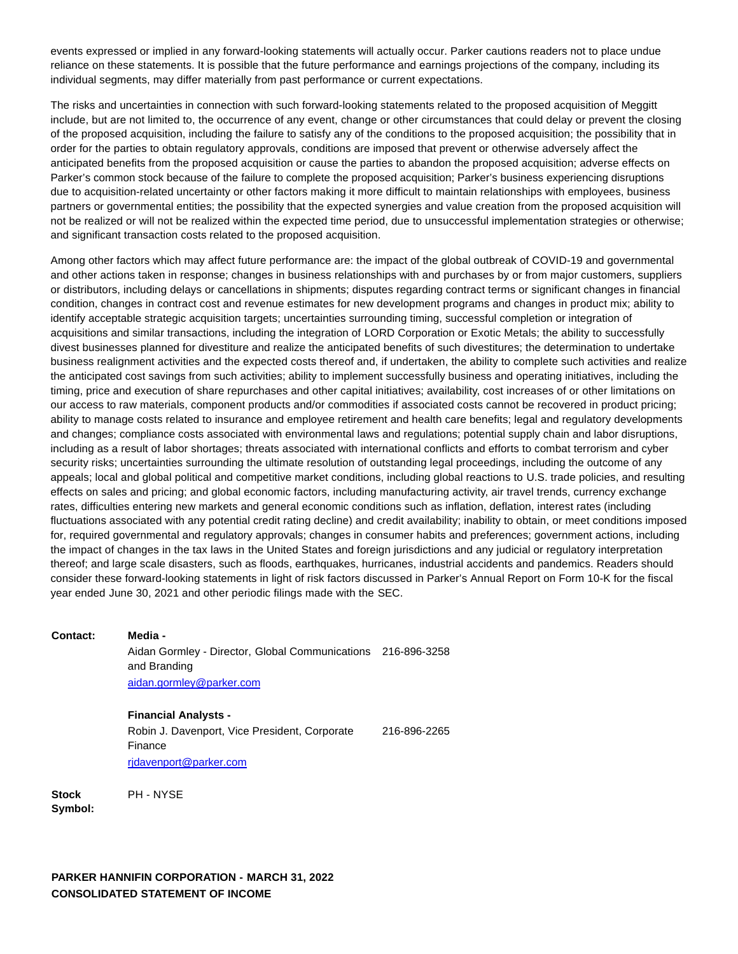events expressed or implied in any forward-looking statements will actually occur. Parker cautions readers not to place undue reliance on these statements. It is possible that the future performance and earnings projections of the company, including its individual segments, may differ materially from past performance or current expectations.

The risks and uncertainties in connection with such forward-looking statements related to the proposed acquisition of Meggitt include, but are not limited to, the occurrence of any event, change or other circumstances that could delay or prevent the closing of the proposed acquisition, including the failure to satisfy any of the conditions to the proposed acquisition; the possibility that in order for the parties to obtain regulatory approvals, conditions are imposed that prevent or otherwise adversely affect the anticipated benefits from the proposed acquisition or cause the parties to abandon the proposed acquisition; adverse effects on Parker's common stock because of the failure to complete the proposed acquisition; Parker's business experiencing disruptions due to acquisition-related uncertainty or other factors making it more difficult to maintain relationships with employees, business partners or governmental entities; the possibility that the expected synergies and value creation from the proposed acquisition will not be realized or will not be realized within the expected time period, due to unsuccessful implementation strategies or otherwise; and significant transaction costs related to the proposed acquisition.

Among other factors which may affect future performance are: the impact of the global outbreak of COVID-19 and governmental and other actions taken in response; changes in business relationships with and purchases by or from major customers, suppliers or distributors, including delays or cancellations in shipments; disputes regarding contract terms or significant changes in financial condition, changes in contract cost and revenue estimates for new development programs and changes in product mix; ability to identify acceptable strategic acquisition targets; uncertainties surrounding timing, successful completion or integration of acquisitions and similar transactions, including the integration of LORD Corporation or Exotic Metals; the ability to successfully divest businesses planned for divestiture and realize the anticipated benefits of such divestitures; the determination to undertake business realignment activities and the expected costs thereof and, if undertaken, the ability to complete such activities and realize the anticipated cost savings from such activities; ability to implement successfully business and operating initiatives, including the timing, price and execution of share repurchases and other capital initiatives; availability, cost increases of or other limitations on our access to raw materials, component products and/or commodities if associated costs cannot be recovered in product pricing; ability to manage costs related to insurance and employee retirement and health care benefits; legal and regulatory developments and changes; compliance costs associated with environmental laws and regulations; potential supply chain and labor disruptions, including as a result of labor shortages; threats associated with international conflicts and efforts to combat terrorism and cyber security risks; uncertainties surrounding the ultimate resolution of outstanding legal proceedings, including the outcome of any appeals; local and global political and competitive market conditions, including global reactions to U.S. trade policies, and resulting effects on sales and pricing; and global economic factors, including manufacturing activity, air travel trends, currency exchange rates, difficulties entering new markets and general economic conditions such as inflation, deflation, interest rates (including fluctuations associated with any potential credit rating decline) and credit availability; inability to obtain, or meet conditions imposed for, required governmental and regulatory approvals; changes in consumer habits and preferences; government actions, including the impact of changes in the tax laws in the United States and foreign jurisdictions and any judicial or regulatory interpretation thereof; and large scale disasters, such as floods, earthquakes, hurricanes, industrial accidents and pandemics. Readers should consider these forward-looking statements in light of risk factors discussed in Parker's Annual Report on Form 10-K for the fiscal year ended June 30, 2021 and other periodic filings made with the SEC.

**Contact: Media -**

Aidan Gormley - Director, Global Communications 216-896-3258 and Branding [aidan.gormley@parker.com](mailto:aidan.gormley@parker.com)

**Financial Analysts -**

Robin J. Davenport, Vice President, Corporate Finance 216-896-2265 [rjdavenport@parker.com](mailto:rjdavenport@parker.com)

**Stock Symbol:** PH - NYSE

**PARKER HANNIFIN CORPORATION - MARCH 31, 2022 CONSOLIDATED STATEMENT OF INCOME**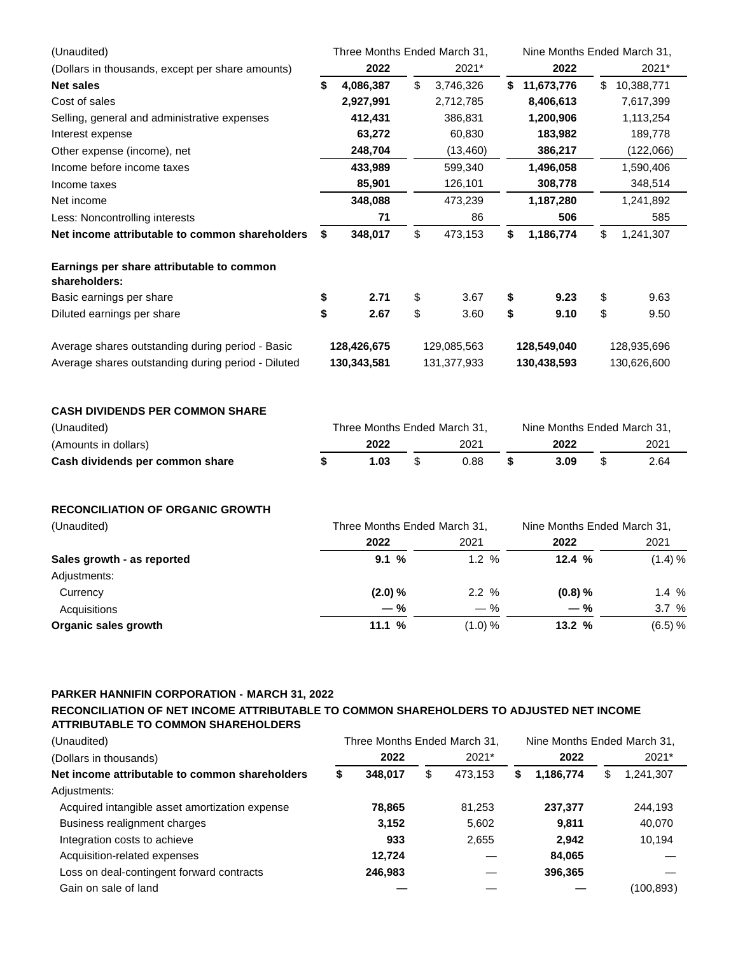| 2022<br>2021*<br>2022<br>2021*<br>(Dollars in thousands, except per share amounts)<br>\$<br><b>Net sales</b><br>4,086,387<br>3,746,326<br>\$11,673,776<br>\$10,388,771<br>\$<br>Cost of sales<br>2,927,991<br>2,712,785<br>8,406,613<br>7,617,399<br>1,200,906<br>412,431<br>386,831<br>1,113,254<br>Selling, general and administrative expenses<br>63,272<br>60,830<br>183,982<br>189,778<br>Interest expense<br>248,704<br>386,217<br>(13, 460)<br>(122,066)<br>Income before income taxes<br>433,989<br>599,340<br>1,496,058<br>1,590,406<br>85,901<br>126,101<br>308,778<br>348,514<br>Income taxes<br>Net income<br>348,088<br>473,239<br>1,187,280<br>1,241,892<br>506<br>71<br>86<br>585<br>Less: Noncontrolling interests<br>\$<br>\$<br>Net income attributable to common shareholders<br>1,186,774<br>1,241,307<br>\$<br>348,017<br>473,153<br>\$<br>Earnings per share attributable to common<br>shareholders:<br>\$<br>2.71<br>\$<br>3.67<br>9.23<br>\$<br>9.63<br>\$<br>\$<br>\$<br>\$<br>2.67<br>\$<br>9.10<br>9.50<br>Diluted earnings per share<br>3.60<br>Average shares outstanding during period - Basic<br>128,426,675<br>129,085,563<br>128,549,040<br>128,935,696<br>Average shares outstanding during period - Diluted<br>130,343,581<br>131,377,933<br>130,438,593<br>130,626,600<br><b>CASH DIVIDENDS PER COMMON SHARE</b><br>(Unaudited)<br>Three Months Ended March 31,<br>Nine Months Ended March 31,<br>2022<br>2021<br>2022<br>2021<br>(Amounts in dollars)<br>\$<br>\$<br>\$<br>\$<br>1.03<br>0.88<br>3.09<br>2.64<br><b>RECONCILIATION OF ORGANIC GROWTH</b><br>(Unaudited)<br>Three Months Ended March 31,<br>Nine Months Ended March 31,<br>2022<br>2022<br>2021<br>2021<br>9.1%<br>1.2%<br>12.4%<br>(1.4) %<br>(2.0) %<br>2.2 %<br>(0.8) %<br>Currency<br>$1.4\%$<br>3.7 %<br>Acquisitions<br>— %<br>$-$ %<br>— %<br>(1.0) %<br>13.2 %<br>(6.5) %<br>Organic sales growth<br>11.1% | (Unaudited)                     | Three Months Ended March 31, |  |  | Nine Months Ended March 31, |  |  |  |  |
|------------------------------------------------------------------------------------------------------------------------------------------------------------------------------------------------------------------------------------------------------------------------------------------------------------------------------------------------------------------------------------------------------------------------------------------------------------------------------------------------------------------------------------------------------------------------------------------------------------------------------------------------------------------------------------------------------------------------------------------------------------------------------------------------------------------------------------------------------------------------------------------------------------------------------------------------------------------------------------------------------------------------------------------------------------------------------------------------------------------------------------------------------------------------------------------------------------------------------------------------------------------------------------------------------------------------------------------------------------------------------------------------------------------------------------------------------------------------------------------------------------------------------------------------------------------------------------------------------------------------------------------------------------------------------------------------------------------------------------------------------------------------------------------------------------------------------------------------------------------------------------------------------------------------|---------------------------------|------------------------------|--|--|-----------------------------|--|--|--|--|
|                                                                                                                                                                                                                                                                                                                                                                                                                                                                                                                                                                                                                                                                                                                                                                                                                                                                                                                                                                                                                                                                                                                                                                                                                                                                                                                                                                                                                                                                                                                                                                                                                                                                                                                                                                                                                                                                                                                        |                                 |                              |  |  |                             |  |  |  |  |
|                                                                                                                                                                                                                                                                                                                                                                                                                                                                                                                                                                                                                                                                                                                                                                                                                                                                                                                                                                                                                                                                                                                                                                                                                                                                                                                                                                                                                                                                                                                                                                                                                                                                                                                                                                                                                                                                                                                        |                                 |                              |  |  |                             |  |  |  |  |
|                                                                                                                                                                                                                                                                                                                                                                                                                                                                                                                                                                                                                                                                                                                                                                                                                                                                                                                                                                                                                                                                                                                                                                                                                                                                                                                                                                                                                                                                                                                                                                                                                                                                                                                                                                                                                                                                                                                        |                                 |                              |  |  |                             |  |  |  |  |
|                                                                                                                                                                                                                                                                                                                                                                                                                                                                                                                                                                                                                                                                                                                                                                                                                                                                                                                                                                                                                                                                                                                                                                                                                                                                                                                                                                                                                                                                                                                                                                                                                                                                                                                                                                                                                                                                                                                        |                                 |                              |  |  |                             |  |  |  |  |
|                                                                                                                                                                                                                                                                                                                                                                                                                                                                                                                                                                                                                                                                                                                                                                                                                                                                                                                                                                                                                                                                                                                                                                                                                                                                                                                                                                                                                                                                                                                                                                                                                                                                                                                                                                                                                                                                                                                        |                                 |                              |  |  |                             |  |  |  |  |
|                                                                                                                                                                                                                                                                                                                                                                                                                                                                                                                                                                                                                                                                                                                                                                                                                                                                                                                                                                                                                                                                                                                                                                                                                                                                                                                                                                                                                                                                                                                                                                                                                                                                                                                                                                                                                                                                                                                        | Other expense (income), net     |                              |  |  |                             |  |  |  |  |
|                                                                                                                                                                                                                                                                                                                                                                                                                                                                                                                                                                                                                                                                                                                                                                                                                                                                                                                                                                                                                                                                                                                                                                                                                                                                                                                                                                                                                                                                                                                                                                                                                                                                                                                                                                                                                                                                                                                        |                                 |                              |  |  |                             |  |  |  |  |
|                                                                                                                                                                                                                                                                                                                                                                                                                                                                                                                                                                                                                                                                                                                                                                                                                                                                                                                                                                                                                                                                                                                                                                                                                                                                                                                                                                                                                                                                                                                                                                                                                                                                                                                                                                                                                                                                                                                        |                                 |                              |  |  |                             |  |  |  |  |
|                                                                                                                                                                                                                                                                                                                                                                                                                                                                                                                                                                                                                                                                                                                                                                                                                                                                                                                                                                                                                                                                                                                                                                                                                                                                                                                                                                                                                                                                                                                                                                                                                                                                                                                                                                                                                                                                                                                        |                                 |                              |  |  |                             |  |  |  |  |
|                                                                                                                                                                                                                                                                                                                                                                                                                                                                                                                                                                                                                                                                                                                                                                                                                                                                                                                                                                                                                                                                                                                                                                                                                                                                                                                                                                                                                                                                                                                                                                                                                                                                                                                                                                                                                                                                                                                        |                                 |                              |  |  |                             |  |  |  |  |
|                                                                                                                                                                                                                                                                                                                                                                                                                                                                                                                                                                                                                                                                                                                                                                                                                                                                                                                                                                                                                                                                                                                                                                                                                                                                                                                                                                                                                                                                                                                                                                                                                                                                                                                                                                                                                                                                                                                        |                                 |                              |  |  |                             |  |  |  |  |
|                                                                                                                                                                                                                                                                                                                                                                                                                                                                                                                                                                                                                                                                                                                                                                                                                                                                                                                                                                                                                                                                                                                                                                                                                                                                                                                                                                                                                                                                                                                                                                                                                                                                                                                                                                                                                                                                                                                        |                                 |                              |  |  |                             |  |  |  |  |
|                                                                                                                                                                                                                                                                                                                                                                                                                                                                                                                                                                                                                                                                                                                                                                                                                                                                                                                                                                                                                                                                                                                                                                                                                                                                                                                                                                                                                                                                                                                                                                                                                                                                                                                                                                                                                                                                                                                        | Basic earnings per share        |                              |  |  |                             |  |  |  |  |
|                                                                                                                                                                                                                                                                                                                                                                                                                                                                                                                                                                                                                                                                                                                                                                                                                                                                                                                                                                                                                                                                                                                                                                                                                                                                                                                                                                                                                                                                                                                                                                                                                                                                                                                                                                                                                                                                                                                        |                                 |                              |  |  |                             |  |  |  |  |
|                                                                                                                                                                                                                                                                                                                                                                                                                                                                                                                                                                                                                                                                                                                                                                                                                                                                                                                                                                                                                                                                                                                                                                                                                                                                                                                                                                                                                                                                                                                                                                                                                                                                                                                                                                                                                                                                                                                        |                                 |                              |  |  |                             |  |  |  |  |
|                                                                                                                                                                                                                                                                                                                                                                                                                                                                                                                                                                                                                                                                                                                                                                                                                                                                                                                                                                                                                                                                                                                                                                                                                                                                                                                                                                                                                                                                                                                                                                                                                                                                                                                                                                                                                                                                                                                        |                                 |                              |  |  |                             |  |  |  |  |
|                                                                                                                                                                                                                                                                                                                                                                                                                                                                                                                                                                                                                                                                                                                                                                                                                                                                                                                                                                                                                                                                                                                                                                                                                                                                                                                                                                                                                                                                                                                                                                                                                                                                                                                                                                                                                                                                                                                        |                                 |                              |  |  |                             |  |  |  |  |
|                                                                                                                                                                                                                                                                                                                                                                                                                                                                                                                                                                                                                                                                                                                                                                                                                                                                                                                                                                                                                                                                                                                                                                                                                                                                                                                                                                                                                                                                                                                                                                                                                                                                                                                                                                                                                                                                                                                        |                                 |                              |  |  |                             |  |  |  |  |
|                                                                                                                                                                                                                                                                                                                                                                                                                                                                                                                                                                                                                                                                                                                                                                                                                                                                                                                                                                                                                                                                                                                                                                                                                                                                                                                                                                                                                                                                                                                                                                                                                                                                                                                                                                                                                                                                                                                        |                                 |                              |  |  |                             |  |  |  |  |
|                                                                                                                                                                                                                                                                                                                                                                                                                                                                                                                                                                                                                                                                                                                                                                                                                                                                                                                                                                                                                                                                                                                                                                                                                                                                                                                                                                                                                                                                                                                                                                                                                                                                                                                                                                                                                                                                                                                        | Cash dividends per common share |                              |  |  |                             |  |  |  |  |
|                                                                                                                                                                                                                                                                                                                                                                                                                                                                                                                                                                                                                                                                                                                                                                                                                                                                                                                                                                                                                                                                                                                                                                                                                                                                                                                                                                                                                                                                                                                                                                                                                                                                                                                                                                                                                                                                                                                        |                                 |                              |  |  |                             |  |  |  |  |
|                                                                                                                                                                                                                                                                                                                                                                                                                                                                                                                                                                                                                                                                                                                                                                                                                                                                                                                                                                                                                                                                                                                                                                                                                                                                                                                                                                                                                                                                                                                                                                                                                                                                                                                                                                                                                                                                                                                        |                                 |                              |  |  |                             |  |  |  |  |
|                                                                                                                                                                                                                                                                                                                                                                                                                                                                                                                                                                                                                                                                                                                                                                                                                                                                                                                                                                                                                                                                                                                                                                                                                                                                                                                                                                                                                                                                                                                                                                                                                                                                                                                                                                                                                                                                                                                        |                                 |                              |  |  |                             |  |  |  |  |
|                                                                                                                                                                                                                                                                                                                                                                                                                                                                                                                                                                                                                                                                                                                                                                                                                                                                                                                                                                                                                                                                                                                                                                                                                                                                                                                                                                                                                                                                                                                                                                                                                                                                                                                                                                                                                                                                                                                        | Sales growth - as reported      |                              |  |  |                             |  |  |  |  |
|                                                                                                                                                                                                                                                                                                                                                                                                                                                                                                                                                                                                                                                                                                                                                                                                                                                                                                                                                                                                                                                                                                                                                                                                                                                                                                                                                                                                                                                                                                                                                                                                                                                                                                                                                                                                                                                                                                                        | Adjustments:                    |                              |  |  |                             |  |  |  |  |
|                                                                                                                                                                                                                                                                                                                                                                                                                                                                                                                                                                                                                                                                                                                                                                                                                                                                                                                                                                                                                                                                                                                                                                                                                                                                                                                                                                                                                                                                                                                                                                                                                                                                                                                                                                                                                                                                                                                        |                                 |                              |  |  |                             |  |  |  |  |
|                                                                                                                                                                                                                                                                                                                                                                                                                                                                                                                                                                                                                                                                                                                                                                                                                                                                                                                                                                                                                                                                                                                                                                                                                                                                                                                                                                                                                                                                                                                                                                                                                                                                                                                                                                                                                                                                                                                        |                                 |                              |  |  |                             |  |  |  |  |
|                                                                                                                                                                                                                                                                                                                                                                                                                                                                                                                                                                                                                                                                                                                                                                                                                                                                                                                                                                                                                                                                                                                                                                                                                                                                                                                                                                                                                                                                                                                                                                                                                                                                                                                                                                                                                                                                                                                        |                                 |                              |  |  |                             |  |  |  |  |

#### **PARKER HANNIFIN CORPORATION - MARCH 31, 2022**

## **RECONCILIATION OF NET INCOME ATTRIBUTABLE TO COMMON SHAREHOLDERS TO ADJUSTED NET INCOME ATTRIBUTABLE TO COMMON SHAREHOLDERS**

| (Unaudited)                                    | Three Months Ended March 31, |         |    |         | Nine Months Ended March 31, |           |    |           |
|------------------------------------------------|------------------------------|---------|----|---------|-----------------------------|-----------|----|-----------|
| (Dollars in thousands)                         |                              | 2022    |    | 2021*   |                             | 2022      |    | 2021*     |
| Net income attributable to common shareholders | \$                           | 348.017 | \$ | 473.153 | S                           | 1,186,774 | \$ | 1,241,307 |
| Adjustments:                                   |                              |         |    |         |                             |           |    |           |
| Acquired intangible asset amortization expense |                              | 78,865  |    | 81,253  |                             | 237.377   |    | 244,193   |
| Business realignment charges                   |                              | 3,152   |    | 5,602   |                             | 9,811     |    | 40,070    |
| Integration costs to achieve                   |                              | 933     |    | 2,655   |                             | 2.942     |    | 10,194    |
| Acquisition-related expenses                   |                              | 12.724  |    |         |                             | 84,065    |    |           |
| Loss on deal-contingent forward contracts      |                              | 246.983 |    |         |                             | 396,365   |    |           |
| Gain on sale of land                           |                              |         |    |         |                             |           |    | (100,893) |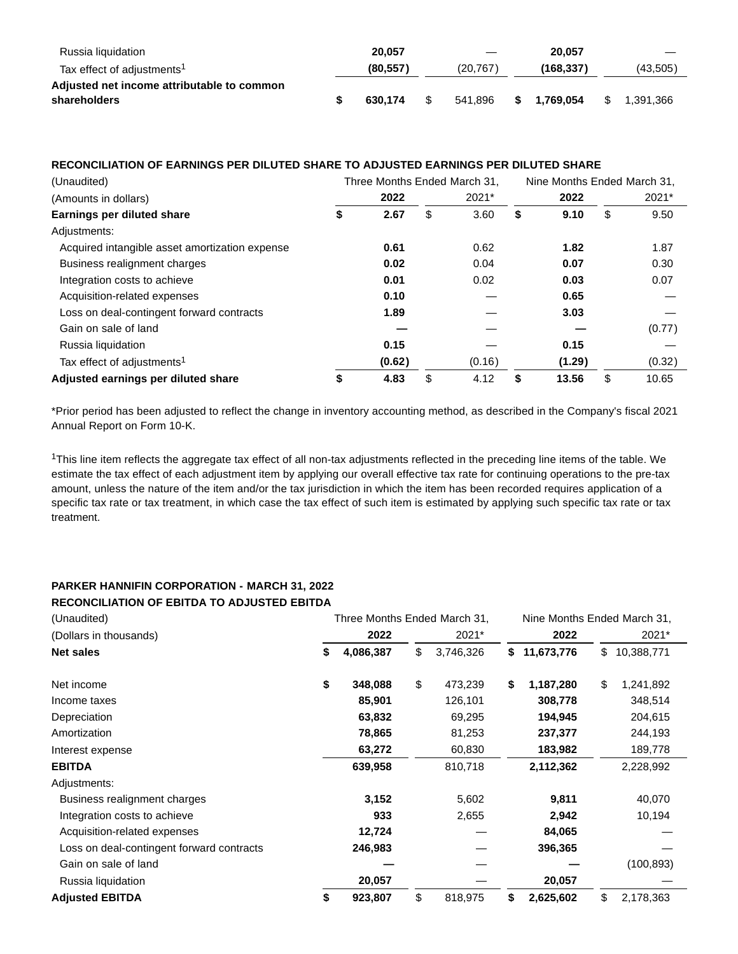| Russia liquidation                         | 20.057    |      | $\hspace{0.1mm}-\hspace{0.1mm}$ |    | 20.057    |    |           |
|--------------------------------------------|-----------|------|---------------------------------|----|-----------|----|-----------|
| Tax effect of adjustments <sup>1</sup>     | (80, 557) |      | (20.767)                        |    | (168.337) |    | (43,505)  |
| Adjusted net income attributable to common |           |      |                                 |    |           |    |           |
| shareholders                               | 630.174   | - \$ | 541.896                         | S. | 1.769.054 | S. | 1.391.366 |

## **RECONCILIATION OF EARNINGS PER DILUTED SHARE TO ADJUSTED EARNINGS PER DILUTED SHARE**

| (Unaudited)                                    | Three Months Ended March 31, |            | Nine Months Ended March 31, |        |    |        |  |
|------------------------------------------------|------------------------------|------------|-----------------------------|--------|----|--------|--|
| (Amounts in dollars)                           | 2022                         | 2021*      |                             | 2022   |    | 2021*  |  |
| Earnings per diluted share                     | \$<br>2.67                   | \$<br>3.60 | S                           | 9.10   | \$ | 9.50   |  |
| Adjustments:                                   |                              |            |                             |        |    |        |  |
| Acquired intangible asset amortization expense | 0.61                         | 0.62       |                             | 1.82   |    | 1.87   |  |
| Business realignment charges                   | 0.02                         | 0.04       |                             | 0.07   |    | 0.30   |  |
| Integration costs to achieve                   | 0.01                         | 0.02       |                             | 0.03   |    | 0.07   |  |
| Acquisition-related expenses                   | 0.10                         |            |                             | 0.65   |    |        |  |
| Loss on deal-contingent forward contracts      | 1.89                         |            |                             | 3.03   |    |        |  |
| Gain on sale of land                           |                              |            |                             |        |    | (0.77) |  |
| Russia liquidation                             | 0.15                         |            |                             | 0.15   |    |        |  |
| Tax effect of adjustments <sup>1</sup>         | (0.62)                       | (0.16)     |                             | (1.29) |    | (0.32) |  |
| Adjusted earnings per diluted share            | \$<br>4.83                   | \$<br>4.12 | S                           | 13.56  | \$ | 10.65  |  |

\*Prior period has been adjusted to reflect the change in inventory accounting method, as described in the Company's fiscal 2021 Annual Report on Form 10-K.

<sup>1</sup>This line item reflects the aggregate tax effect of all non-tax adjustments reflected in the preceding line items of the table. We estimate the tax effect of each adjustment item by applying our overall effective tax rate for continuing operations to the pre-tax amount, unless the nature of the item and/or the tax jurisdiction in which the item has been recorded requires application of a specific tax rate or tax treatment, in which case the tax effect of such item is estimated by applying such specific tax rate or tax treatment.

## **PARKER HANNIFIN CORPORATION - MARCH 31, 2022 RECONCILIATION OF EBITDA TO ADJUSTED EBITDA**

| (Unaudited)                               | Three Months Ended March 31, |           |    |           | Nine Months Ended March 31, |            |    |            |
|-------------------------------------------|------------------------------|-----------|----|-----------|-----------------------------|------------|----|------------|
| (Dollars in thousands)                    |                              | 2022      |    | 2021*     |                             | 2022       |    | 2021*      |
| <b>Net sales</b>                          | \$                           | 4,086,387 | \$ | 3,746,326 | \$                          | 11,673,776 | \$ | 10,388,771 |
| Net income                                | \$                           | 348,088   | \$ | 473,239   | \$                          | 1,187,280  | \$ | 1,241,892  |
| Income taxes                              |                              | 85,901    |    | 126,101   |                             | 308,778    |    | 348,514    |
| Depreciation                              |                              | 63,832    |    | 69,295    |                             | 194,945    |    | 204,615    |
| Amortization                              |                              | 78,865    |    | 81,253    |                             | 237,377    |    | 244,193    |
| Interest expense                          |                              | 63,272    |    | 60,830    |                             | 183,982    |    | 189,778    |
| <b>EBITDA</b>                             |                              | 639,958   |    | 810,718   |                             | 2,112,362  |    | 2,228,992  |
| Adjustments:                              |                              |           |    |           |                             |            |    |            |
| Business realignment charges              |                              | 3,152     |    | 5,602     |                             | 9,811      |    | 40,070     |
| Integration costs to achieve              |                              | 933       |    | 2,655     |                             | 2,942      |    | 10,194     |
| Acquisition-related expenses              |                              | 12,724    |    |           |                             | 84,065     |    |            |
| Loss on deal-contingent forward contracts |                              | 246,983   |    |           |                             | 396,365    |    |            |
| Gain on sale of land                      |                              |           |    |           |                             |            |    | (100,893)  |
| Russia liquidation                        |                              | 20,057    |    |           |                             | 20,057     |    |            |
| <b>Adjusted EBITDA</b>                    | \$                           | 923,807   | \$ | 818,975   | \$                          | 2,625,602  | \$ | 2,178,363  |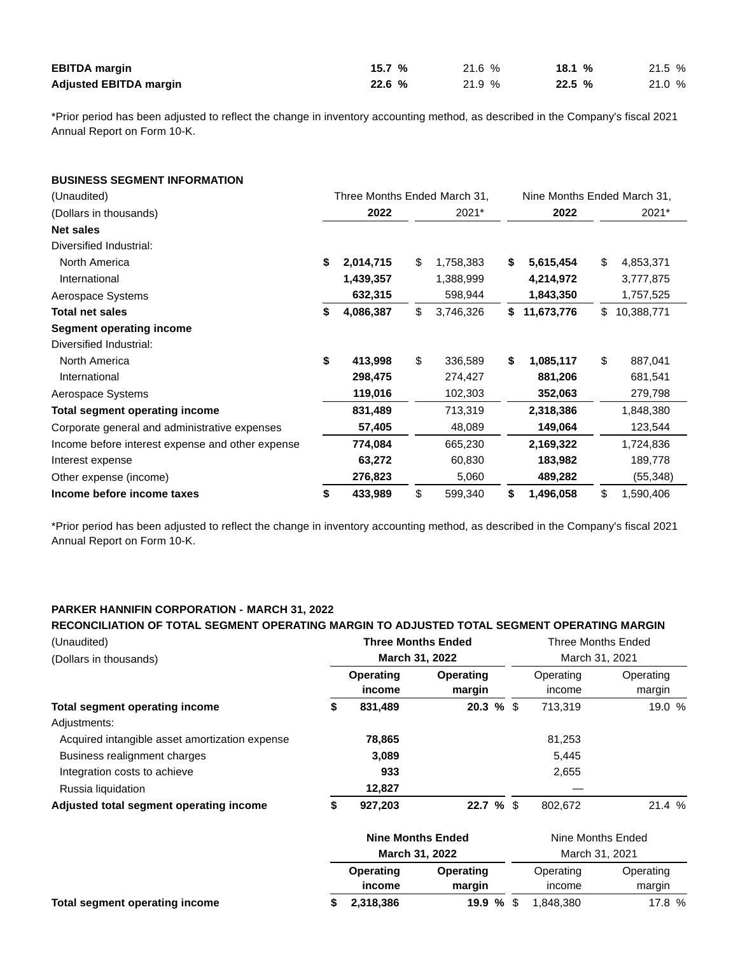| <b>EBITDA</b> margin          | 15.7% | 21.6% | 18.1 $%$ | 21.5 % |
|-------------------------------|-------|-------|----------|--------|
| <b>Adjusted EBITDA margin</b> | 22.6% | 21.9% | 22.5 %   | 21.0 % |

\*Prior period has been adjusted to reflect the change in inventory accounting method, as described in the Company's fiscal 2021 Annual Report on Form 10-K.

## **BUSINESS SEGMENT INFORMATION**

| (Unaudited)                                      | Three Months Ended March 31, |           |    | Nine Months Ended March 31, |                  |                  |
|--------------------------------------------------|------------------------------|-----------|----|-----------------------------|------------------|------------------|
| (Dollars in thousands)                           |                              | 2022      |    | 2021*                       | 2022             | 2021*            |
| <b>Net sales</b>                                 |                              |           |    |                             |                  |                  |
| Diversified Industrial:                          |                              |           |    |                             |                  |                  |
| North America                                    | \$                           | 2,014,715 | \$ | 1,758,383                   | \$<br>5,615,454  | \$<br>4,853,371  |
| International                                    |                              | 1,439,357 |    | 1,388,999                   | 4,214,972        | 3,777,875        |
| Aerospace Systems                                |                              | 632,315   |    | 598,944                     | 1,843,350        | 1,757,525        |
| Total net sales                                  | \$                           | 4,086,387 | \$ | 3,746,326                   | \$<br>11,673,776 | \$<br>10,388,771 |
| <b>Segment operating income</b>                  |                              |           |    |                             |                  |                  |
| Diversified Industrial:                          |                              |           |    |                             |                  |                  |
| North America                                    | \$                           | 413,998   | \$ | 336,589                     | \$<br>1,085,117  | \$<br>887,041    |
| International                                    |                              | 298,475   |    | 274,427                     | 881,206          | 681,541          |
| Aerospace Systems                                |                              | 119,016   |    | 102,303                     | 352,063          | 279,798          |
| Total segment operating income                   |                              | 831,489   |    | 713,319                     | 2,318,386        | 1,848,380        |
| Corporate general and administrative expenses    |                              | 57,405    |    | 48,089                      | 149,064          | 123,544          |
| Income before interest expense and other expense |                              | 774,084   |    | 665,230                     | 2,169,322        | 1,724,836        |
| Interest expense                                 |                              | 63,272    |    | 60,830                      | 183,982          | 189,778          |
| Other expense (income)                           |                              | 276,823   |    | 5,060                       | 489,282          | (55, 348)        |
| Income before income taxes                       | \$                           | 433,989   | \$ | 599,340                     | \$<br>1,496,058  | \$<br>1,590,406  |

\*Prior period has been adjusted to reflect the change in inventory accounting method, as described in the Company's fiscal 2021 Annual Report on Form 10-K.

## **PARKER HANNIFIN CORPORATION - MARCH 31, 2022**

# **RECONCILIATION OF TOTAL SEGMENT OPERATING MARGIN TO ADJUSTED TOTAL SEGMENT OPERATING MARGIN**

| (Unaudited)                                    |                     | <b>Three Months Ended</b> | <b>Three Months Ended</b> |                     |  |  |
|------------------------------------------------|---------------------|---------------------------|---------------------------|---------------------|--|--|
| (Dollars in thousands)                         |                     | <b>March 31, 2022</b>     | March 31, 2021            |                     |  |  |
|                                                | Operating<br>income | Operating<br>margin       | Operating<br>income       | Operating<br>margin |  |  |
| <b>Total segment operating income</b>          | 831,489             | $20.3 \%$ \$              | 713.319                   | 19.0 %              |  |  |
| Adjustments:                                   |                     |                           |                           |                     |  |  |
| Acquired intangible asset amortization expense | 78,865              |                           | 81,253                    |                     |  |  |
| Business realignment charges                   | 3,089               |                           | 5.445                     |                     |  |  |
| Integration costs to achieve                   | 933                 |                           | 2,655                     |                     |  |  |
| Russia liquidation                             | 12,827              |                           |                           |                     |  |  |
| Adjusted total segment operating income        | 927,203             | 22.7%                     | 802.672                   | 21.4%               |  |  |

|                                | <b>Nine Months Ended</b> |           | Nine Months Ended |           |  |  |
|--------------------------------|--------------------------|-----------|-------------------|-----------|--|--|
|                                | <b>March 31, 2022</b>    |           | March 31, 2021    |           |  |  |
|                                | <b>Operating</b>         | Operating | Operating         | Operating |  |  |
|                                | income                   | margin    | income            | margin    |  |  |
| Total segment operating income | 2,318,386                | 19.9%     | 1.848.380         | 17.8 %    |  |  |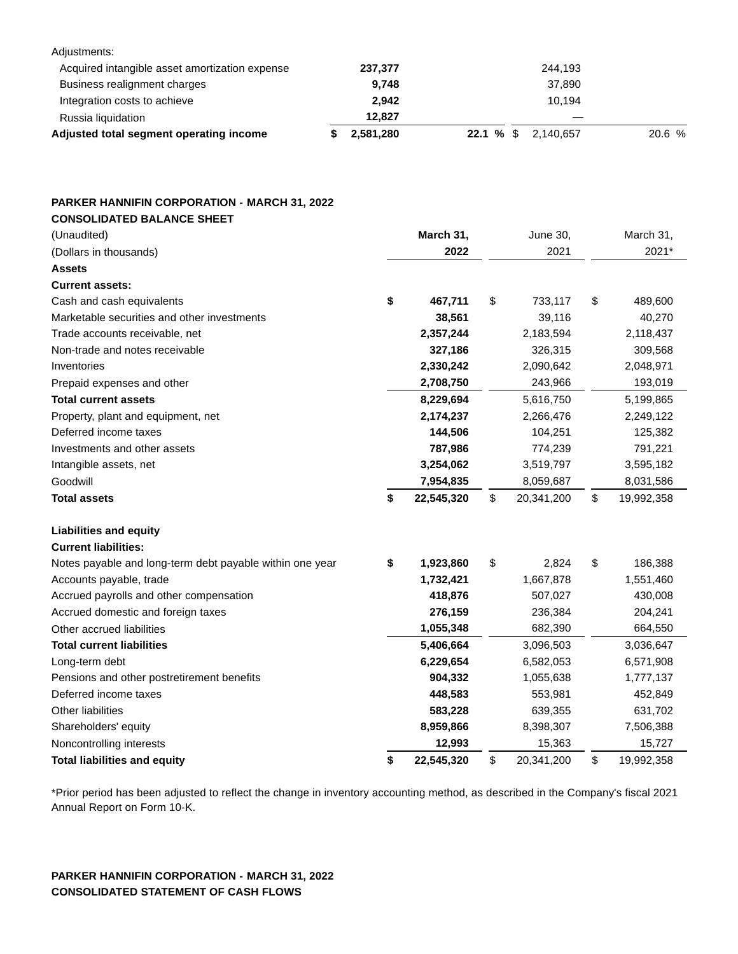| Adjusted total segment operating income        | 2,581,280 | 22.1 % \$<br>2.140.657 | 20.6 % |
|------------------------------------------------|-----------|------------------------|--------|
| Russia liquidation                             | 12.827    |                        |        |
| Integration costs to achieve                   | 2.942     | 10.194                 |        |
| Business realignment charges                   | 9.748     | 37,890                 |        |
| Acquired intangible asset amortization expense | 237,377   | 244,193                |        |
| Adjustments:                                   |           |                        |        |

## **PARKER HANNIFIN CORPORATION - MARCH 31, 2022 CONSOLIDATED BALANCE SHEET**

| (Unaudited)                                              | March 31,        | June 30,         | March 31,        |
|----------------------------------------------------------|------------------|------------------|------------------|
| (Dollars in thousands)                                   | 2022             | 2021             | 2021*            |
| <b>Assets</b>                                            |                  |                  |                  |
| <b>Current assets:</b>                                   |                  |                  |                  |
| Cash and cash equivalents                                | \$<br>467,711    | \$<br>733,117    | \$<br>489,600    |
| Marketable securities and other investments              | 38,561           | 39,116           | 40,270           |
| Trade accounts receivable, net                           | 2,357,244        | 2,183,594        | 2,118,437        |
| Non-trade and notes receivable                           | 327,186          | 326,315          | 309,568          |
| Inventories                                              | 2,330,242        | 2,090,642        | 2,048,971        |
| Prepaid expenses and other                               | 2,708,750        | 243,966          | 193,019          |
| <b>Total current assets</b>                              | 8,229,694        | 5,616,750        | 5,199,865        |
| Property, plant and equipment, net                       | 2,174,237        | 2,266,476        | 2,249,122        |
| Deferred income taxes                                    | 144,506          | 104,251          | 125,382          |
| Investments and other assets                             | 787,986          | 774,239          | 791,221          |
| Intangible assets, net                                   | 3,254,062        | 3,519,797        | 3,595,182        |
| Goodwill                                                 | 7,954,835        | 8,059,687        | 8,031,586        |
| <b>Total assets</b>                                      | \$<br>22,545,320 | \$<br>20,341,200 | \$<br>19,992,358 |
| <b>Liabilities and equity</b>                            |                  |                  |                  |
| <b>Current liabilities:</b>                              |                  |                  |                  |
| Notes payable and long-term debt payable within one year | \$<br>1,923,860  | \$<br>2,824      | \$<br>186,388    |
| Accounts payable, trade                                  | 1,732,421        | 1,667,878        | 1,551,460        |
| Accrued payrolls and other compensation                  | 418,876          | 507,027          | 430,008          |
| Accrued domestic and foreign taxes                       | 276,159          | 236,384          | 204,241          |
| Other accrued liabilities                                | 1,055,348        | 682,390          | 664,550          |
| <b>Total current liabilities</b>                         | 5,406,664        | 3,096,503        | 3,036,647        |
| Long-term debt                                           | 6,229,654        | 6,582,053        | 6,571,908        |
| Pensions and other postretirement benefits               | 904,332          | 1,055,638        | 1,777,137        |
| Deferred income taxes                                    | 448,583          | 553,981          | 452,849          |
| <b>Other liabilities</b>                                 | 583,228          | 639,355          | 631,702          |
| Shareholders' equity                                     | 8,959,866        | 8,398,307        | 7,506,388        |
| Noncontrolling interests                                 | 12,993           | 15,363           | 15,727           |
| <b>Total liabilities and equity</b>                      | \$<br>22,545,320 | \$<br>20,341,200 | \$<br>19,992,358 |

\*Prior period has been adjusted to reflect the change in inventory accounting method, as described in the Company's fiscal 2021 Annual Report on Form 10-K.

## **PARKER HANNIFIN CORPORATION - MARCH 31, 2022 CONSOLIDATED STATEMENT OF CASH FLOWS**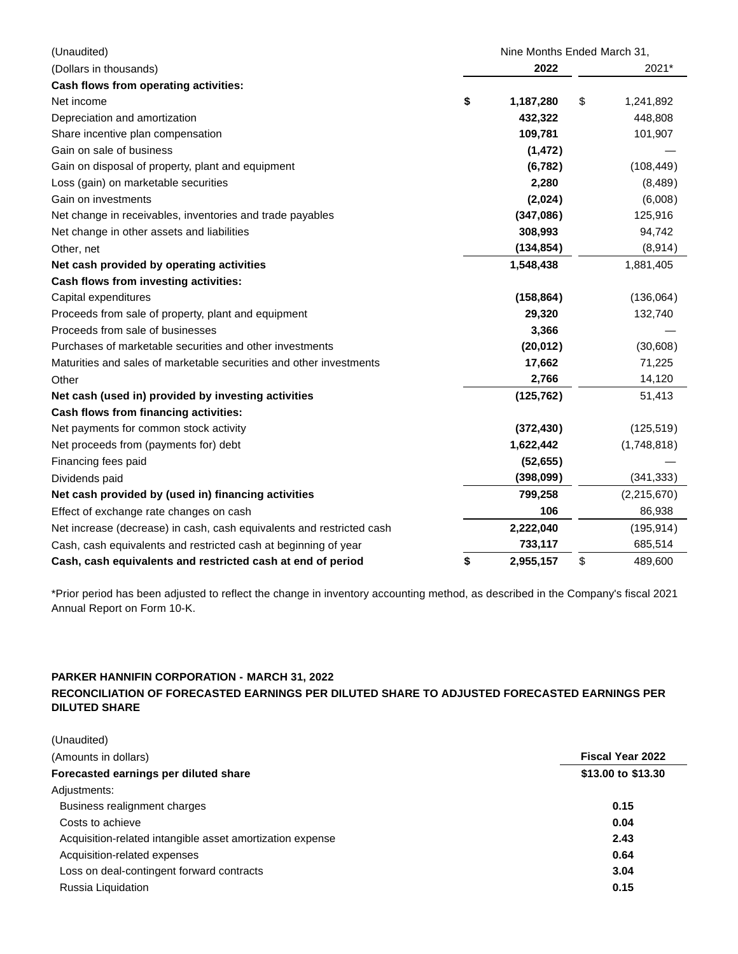| (Unaudited)                                                           | Nine Months Ended March 31, |                 |
|-----------------------------------------------------------------------|-----------------------------|-----------------|
| (Dollars in thousands)                                                | 2022                        | 2021*           |
| Cash flows from operating activities:                                 |                             |                 |
| Net income                                                            | \$<br>1,187,280             | \$<br>1,241,892 |
| Depreciation and amortization                                         | 432,322                     | 448,808         |
| Share incentive plan compensation                                     | 109,781                     | 101,907         |
| Gain on sale of business                                              | (1, 472)                    |                 |
| Gain on disposal of property, plant and equipment                     | (6, 782)                    | (108, 449)      |
| Loss (gain) on marketable securities                                  | 2,280                       | (8,489)         |
| Gain on investments                                                   | (2,024)                     | (6,008)         |
| Net change in receivables, inventories and trade payables             | (347,086)                   | 125,916         |
| Net change in other assets and liabilities                            | 308,993                     | 94,742          |
| Other, net                                                            | (134, 854)                  | (8,914)         |
| Net cash provided by operating activities                             | 1,548,438                   | 1,881,405       |
| Cash flows from investing activities:                                 |                             |                 |
| Capital expenditures                                                  | (158, 864)                  | (136,064)       |
| Proceeds from sale of property, plant and equipment                   | 29,320                      | 132,740         |
| Proceeds from sale of businesses                                      | 3,366                       |                 |
| Purchases of marketable securities and other investments              | (20, 012)                   | (30,608)        |
| Maturities and sales of marketable securities and other investments   | 17,662                      | 71,225          |
| Other                                                                 | 2,766                       | 14,120          |
| Net cash (used in) provided by investing activities                   | (125, 762)                  | 51,413          |
| Cash flows from financing activities:                                 |                             |                 |
| Net payments for common stock activity                                | (372, 430)                  | (125, 519)      |
| Net proceeds from (payments for) debt                                 | 1,622,442                   | (1,748,818)     |
| Financing fees paid                                                   | (52, 655)                   |                 |
| Dividends paid                                                        | (398,099)                   | (341, 333)      |
| Net cash provided by (used in) financing activities                   | 799,258                     | (2,215,670)     |
| Effect of exchange rate changes on cash                               | 106                         | 86,938          |
| Net increase (decrease) in cash, cash equivalents and restricted cash | 2,222,040                   | (195, 914)      |
| Cash, cash equivalents and restricted cash at beginning of year       | 733,117                     | 685,514         |
| Cash, cash equivalents and restricted cash at end of period           | \$<br>2,955,157             | \$<br>489,600   |

\*Prior period has been adjusted to reflect the change in inventory accounting method, as described in the Company's fiscal 2021 Annual Report on Form 10-K.

## **PARKER HANNIFIN CORPORATION - MARCH 31, 2022**

**RECONCILIATION OF FORECASTED EARNINGS PER DILUTED SHARE TO ADJUSTED FORECASTED EARNINGS PER DILUTED SHARE**

| (Unaudited)                                               |                         |
|-----------------------------------------------------------|-------------------------|
| (Amounts in dollars)                                      | <b>Fiscal Year 2022</b> |
| Forecasted earnings per diluted share                     | \$13.00 to \$13.30      |
| Adjustments:                                              |                         |
| Business realignment charges                              | 0.15                    |
| Costs to achieve                                          | 0.04                    |
| Acquisition-related intangible asset amortization expense | 2.43                    |
| Acquisition-related expenses                              | 0.64                    |
| Loss on deal-contingent forward contracts                 | 3.04                    |
| Russia Liquidation                                        | 0.15                    |
|                                                           |                         |